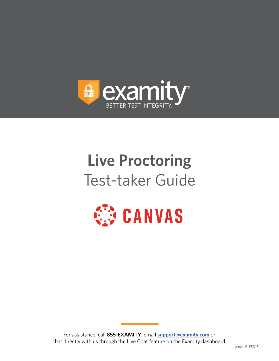

# **Live Proctoring** Test-taker Guide

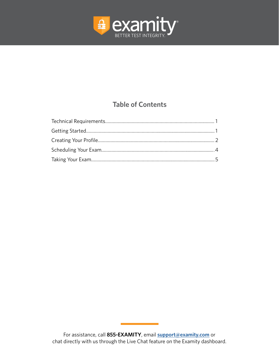

# **Table of Contents**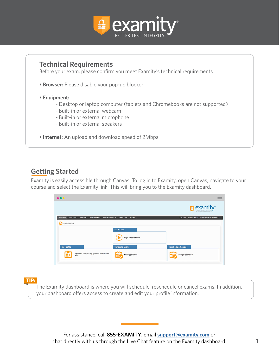

#### **Technical Requirements**

Before your exam, please confirm you meet Examity's technical requirements

- **Browser:** Please disable your pop-up blocker
- **Equipment:**
	- Desktop or laptop computer (tablets and Chromebooks are not supported)
	- Built-in or external webcam
	- Built-in or external microphone
	- Built-in or external speakers
- **Internet:** An upload and download speed of 2Mbps

#### **Getting Started**

Examity is easily accessible through Canvas. To log in to Examity, open Canvas, navigate to your course and select the Examity link. This will bring you to the Examity dashboard.

| $\bullet\bullet\bullet$                                                                          |                                                           | $\equiv$                                                          |
|--------------------------------------------------------------------------------------------------|-----------------------------------------------------------|-------------------------------------------------------------------|
|                                                                                                  |                                                           | examity <sup>®</sup>                                              |
| My Profile<br><b>Start Exam</b><br><b>Schedule Exam</b><br><b>Reschedule/Cancel</b><br>Dashboard | <b>Exam Tools</b><br>Logout                               | Phone Support 855-EXAMITY<br><b>IEmail Support I</b><br>Live Chat |
| Dashboard                                                                                        |                                                           |                                                                   |
|                                                                                                  | <b>Start Exam</b><br>Begin scheduled exam.                |                                                                   |
| My Profile<br>Upload ID. Enter security questions. Confirm time<br>zone.                         | <b>Schedule Exam</b><br>بالماء<br>щÓ<br>Make appointment. | <b>Reschedule/Cancel</b><br>蚩<br>Change appointment.              |

**TIP:**

The Examity dashboard is where you will schedule, reschedule or cancel exams. In addition, your dashboard offers access to create and edit your profile information.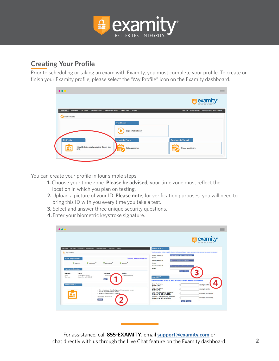

## **Creating Your Profile**

Prior to scheduling or taking an exam with Examity, you must complete your profile. To create or finish your Examity profile, please select the "My Profile" icon on the Examity dashboard.

| $\bullet\bullet\bullet$                                                                                          | $\equiv$                                                |
|------------------------------------------------------------------------------------------------------------------|---------------------------------------------------------|
|                                                                                                                  | e examity <sup>®</sup>                                  |
| Start Exam<br>My Profile<br>Schedule Exam<br>Exam Tools<br>Dashboard<br>Reschedule/Cancel<br>Logout<br>Dashboard | Phone Support: 855-EXAMITY<br>Live Chat Email Support I |
| <b>Start Exam</b>                                                                                                |                                                         |
| Begin scheduled exam.                                                                                            |                                                         |
| My Profile<br><b>Schedule Exam</b>                                                                               | <b>Reschedule/Cancel</b>                                |
| ولول<br>Upload ID. Enter security questions. Confirm time<br>23<br>Make appointment.<br>zone.                    | باراء<br>Change appointment.<br>F                       |
|                                                                                                                  |                                                         |

You can create your profile in four simple steps:

- **1.** Choose your time zone. **Please be advised**, your time zone must reflect the location in which you plan on testing.
- **2.** Upload a picture of your ID. **Please note**, for verification purposes, you will need to bring this ID with you every time you take a test.
- **3.** Select and answer three unique security questions.
- **4.** Enter your biometric keystroke signature.

| • • •                                                                                                                                                                                                                                                                                                                                                                                                                                               | $\equiv$                                                                                                                                                                                                                                                                                                                                                                                                                                                                                                          |
|-----------------------------------------------------------------------------------------------------------------------------------------------------------------------------------------------------------------------------------------------------------------------------------------------------------------------------------------------------------------------------------------------------------------------------------------------------|-------------------------------------------------------------------------------------------------------------------------------------------------------------------------------------------------------------------------------------------------------------------------------------------------------------------------------------------------------------------------------------------------------------------------------------------------------------------------------------------------------------------|
|                                                                                                                                                                                                                                                                                                                                                                                                                                                     | e examity <sup>®</sup><br><b>RETTER TEST INTEGRI</b>                                                                                                                                                                                                                                                                                                                                                                                                                                                              |
| Schedule Exam Reschedule/Cancel Exam Tools Logost<br><b>Deshiboard</b><br><b>Clark Exam</b><br>My Profile                                                                                                                                                                                                                                                                                                                                           | examiKNOW <sup>4</sup>                                                                                                                                                                                                                                                                                                                                                                                                                                                                                            |
| My Profile<br><b>Computer Requirements Check</b><br><b>Exam Requirements</b><br>O Time zone<br>$Q_{\text{max}}$ and $Q_{\text{max}}$<br>$Q_{\text{maxmax} \approx 0}$<br>O managy <sup>®</sup><br><b>Account Information</b><br><b>First Name</b><br>Examity<br><b>Students</b><br><b>Last Name</b><br>+21-0220-222-222222<br>StudentR@examity.com<br>Email<br><b>Phone Number</b><br>Eastern Time (UTC-05:00:00)<br><b>Time Zone</b><br><b>TOP</b> | This information will be used for future verification. Please select questions that you can accurately remember.<br><b>Security Question #1</b><br>What is the middle rame of your pidest child.<br>Answer<br>What is your cident couple's first name?<br><b>Security Question #2</b><br>Answer<br>That was plus Childhood to insered<br><b>Security Question #3</b><br>Answer<br><b>Save Canad</b><br>examilitiev *<br>This information will be used for future verification. Please type as you normally would. |
| examiSHOW <sup>®</sup><br>- Take a picture of your photo ID using a smartphone, camera or webcam.<br>. Save the image of the picture to your PC.<br>. Upload the image from your PC to Examity.<br>Choose File No file chosen<br><b>Upined</b>                                                                                                                                                                                                      | Enter First Name<br>(example: john)<br>(NO CAPS)<br><b>Enter Last Name</b><br>(example: smith)<br>(NO CAPS)<br>Enter First Name and Last Name<br>(example: johnsmith)<br>(NO CAPS, NO SPACES)<br>Re-enter First Name and Last Name<br>(example: johnsmith)<br>(NO CAPS, NO SPACES)<br>"Save Cancel"                                                                                                                                                                                                               |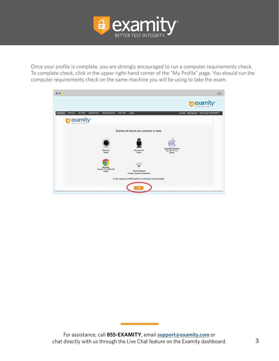

Once your profile is complete, you are strongly encouraged to run a computer requirements check. To complete check, click in the upper right-hand corner of the "My Profile" page. You should run the computer requirements check on the same machine you will be using to take the exam.

| $\bullet\bullet\bullet$<br>≡                                                                                                                                               |
|----------------------------------------------------------------------------------------------------------------------------------------------------------------------------|
| <b>J</b> examity <sup>®</sup><br>$\mathbf{a}$<br>BETTER TEST INTEGRITY                                                                                                     |
| Reschedule/Cancel<br>Live Chat   Email Support   Phone Support 855-EXAMITY<br>Dashboard<br><b>Start Exam</b><br>My Profile<br><b>Schedule Exam</b><br>Exam Tools<br>Logout |
| $\pm$ examity<br>BETTER TEST INTEGRIT                                                                                                                                      |
| Examity will ensure your computer is ready.                                                                                                                                |
| <b>Operating System</b><br>Webcam<br>Microphone<br>Mac OS 10.13.6<br>Ready<br>Ready<br>Ready                                                                               |
| Browser<br>Chrome 72.0.3626.109<br><b>Internet Speed</b><br>Ready<br>Proceed. Speed is acceptable.                                                                         |
| It may require up to 60 seconds to verify your internet speed.                                                                                                             |
| Next:                                                                                                                                                                      |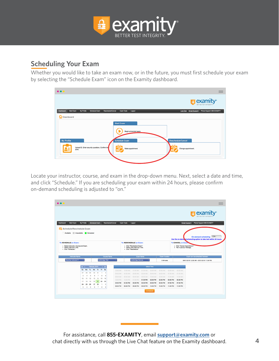

### **Scheduling Your Exam**

Whether you would like to take an exam now, or in the future, you must first schedule your exam by selecting the "Schedule Exam" icon on the Examity dashboard.



Locate your instructor, course, and exam in the drop-down menu. Next, select a date and time, and click "Schedule." If you are scheduling your exam within 24 hours, please confirm on-demand scheduling is adjusted to "on."

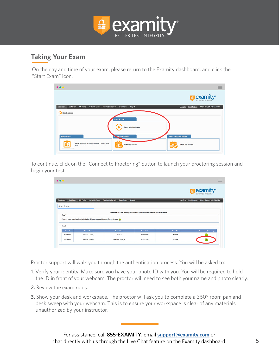

# **Taking Your Exam**

On the day and time of your exam, please return to the Examity dashboard, and click the "Start Exam" icon.



To continue, click on the "Connect to Proctoring" button to launch your proctoring session and begin your test.

|                                       |                                                                               |                                                  |                                                                       |                  | <b>a</b> examity <sup>®</sup>                |
|---------------------------------------|-------------------------------------------------------------------------------|--------------------------------------------------|-----------------------------------------------------------------------|------------------|----------------------------------------------|
| <b>Start Exam</b><br><b>Dashboard</b> | My Profile<br>Schedule Exam                                                   | Reschedule/Cancel<br><b>Exam Tools</b><br>Logout |                                                                       | Live Chat        | Phone Support 855-EXAMITY<br>Email Support I |
| <b>Start Exam</b>                     |                                                                               |                                                  |                                                                       |                  |                                              |
| Step 1                                |                                                                               |                                                  | Please turn OFF pop-up blocker on your browser before you start exam. |                  |                                              |
| Step 2-                               | Examity extension is already installed. Please proceed to step 2 and click on |                                                  |                                                                       |                  |                                              |
| Exam ID                               | Course Name                                                                   | <b>Exam Name</b>                                 | <b>Exam Date</b>                                                      | <b>Exam Time</b> | <b>Connect to Proctoring</b>                 |
| 710072932                             | Machine Learning                                                              | Quiz 3                                           | 02/20/2019                                                            | 1:30 PM          |                                              |

Proctor support will walk you through the authentication process. You will be asked to:

- **1**. Verify your identity. Make sure you have your photo ID with you. You will be required to hold the ID in front of your webcam. The proctor will need to see both your name and photo clearly.
- **2.** Review the exam rules.
- **3.** Show your desk and workspace. The proctor will ask you to complete a 360° room pan and desk sweep with your webcam. This is to ensure your workspace is clear of any materials unauthorized by your instructor.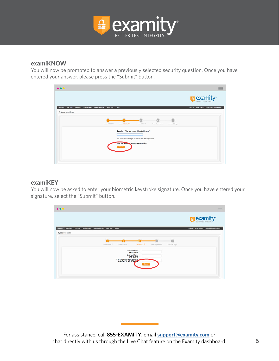

#### **examiKNOW**

You will now be prompted to answer a previously selected security question. Once you have entered your answer, please press the "Submit" button.

| $\bullet\bullet\bullet$                                                                                                      | $\equiv$                                            |
|------------------------------------------------------------------------------------------------------------------------------|-----------------------------------------------------|
|                                                                                                                              | a examity <sup>®</sup><br>RETTER TEST INTEGRITY     |
| Exam Tools Logout<br>Deshboard<br><b>Start Exam</b><br><b>My Profile</b><br><b>Schedule Exam</b><br>Reschedule/Cancel        | Live Chat Email Support   Phone Support 855-EXAMITY |
| Answer questions                                                                                                             |                                                     |
| $\widehat{\mathbb{C}}$<br>$\circ$<br>examixNOW <sup>®</sup><br>examitery®<br>coamistoup®<br>User Agreement<br>Launch & Begin |                                                     |
| Question : What was your childhood nickname?                                                                                 |                                                     |
| You have three attempts to answer the above question.                                                                        |                                                     |
| Note that answers are not case-sensitive.<br>Submit                                                                          |                                                     |
|                                                                                                                              |                                                     |
|                                                                                                                              |                                                     |
|                                                                                                                              |                                                     |

#### **examiKEY**

You will now be asked to enter your biometric keystroke signature. Once you have entered your signature, select the "Submit" button.

| $\bullet\bullet\bullet$                                                                                                                    | $=$<br>__                                          |
|--------------------------------------------------------------------------------------------------------------------------------------------|----------------------------------------------------|
|                                                                                                                                            | examity <sup>®</sup>                               |
| <b>Start Exam</b><br><b>My Profile</b><br>Schedule Exam<br><b>Exam Tools</b><br>Logout<br>Deahboard<br>Reschedule/Cancel<br>Type your name | Live Chat Email Support   Phone Support 855-EXAMTY |
| examikEY <sup>®</sup><br>examiSNAP®<br>examilOWOW <sup>®</sup><br>User Agreement<br>Launch & Begin                                         |                                                    |
| Enter First Name<br>(NO CAPS)<br>Enter Last Name<br>(NO CAPS)<br>Enter First Name and Last Name<br>(NO CAPS, NO SPACE o)<br>Submit         |                                                    |
|                                                                                                                                            |                                                    |